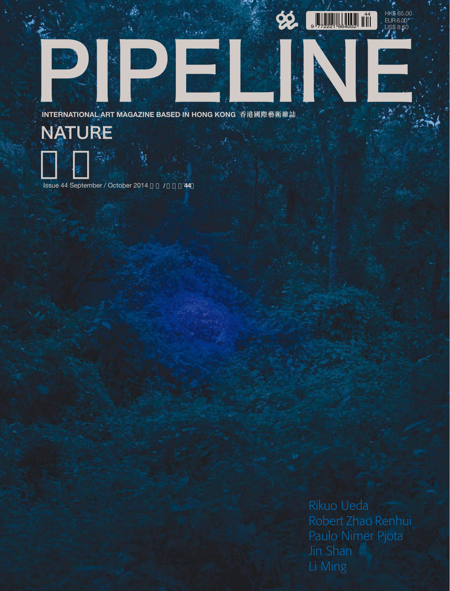

**INTERNATIONAL ART MAGAZINE BASED IN HONG KONG** 香港國際藝術雜誌

ارة<br>أ

NATURE

**不能** 

Issue 44 September / October 2014 / 144

Rikuo Ueda Robert Zhao Renhui Jin Shan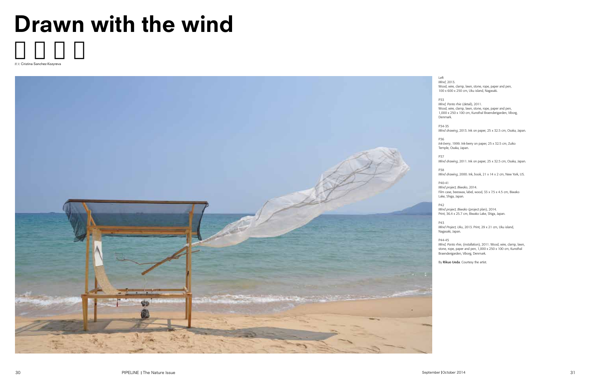## Drawn with the wind

原文 Cristina Sanchez-Kozyreva



## Left *Wind*, 2013.

Wood, wire, clamp, lawn, stone, rope, paper and pen, 100 x 600 x 250 cm, Uku island, Nagasaki.

*Wind, Panta rhie* (detail), 2011. Wood, wire, clamp, lawn, stone, rope, paper and pen, 1,000 x 250 x 100 cm, Kunsthal Braenderigarden, Viborg, Denmark.

## P34-35

*Wind drawing*, 2013. Ink on paper, 25 x 32.5 cm, Osaka, Japan.

*Ink-berry*, 1999. Ink-berry on paper, 25 x 32.5 cm, Zuiko Temple, Osaka, Japan.

*Wind drawing*, 2011. Ink on paper, 25 x 32.5 cm, Osaka, Japan.

P38 *Wind drawing*, 2000. Ink, book, 21 x 14 x 2 cm, New York, US.

P40-41 *Wind project, Biwako*, 2014. Film case, beeswax, label, wood, 33 x 7.5 x 4.5 cm, Biwako Lake, Shiga, Japan.

P42 *Wind project, Biwako* (project plan), 2014. Print, 36.4 x 25.7 cm, Biwako Lake, Shiga, Japan.

P43 *Wind Project, Uku*, 2013. Print, 29 x 21 cm, Uku island, Nagasaki, Japan.

P44-45 *Wind, Panta rhie*, (installation), 2011. Wood, wire, clamp, lawn, stone, rope, paper and pen, 1,000 x 250 x 100 cm, Kunsthal Braenderigarden, Viborg, Denmark.

By Rikuo Ueda. Courtesy the artist.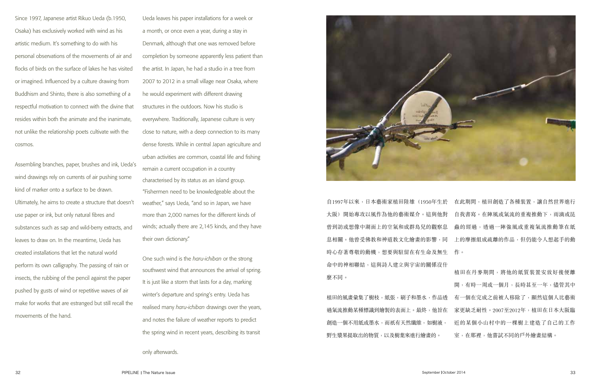Since 1997, Japanese artist Rikuo Ueda (b.1950, Osaka) has exclusively worked with wind as his artistic medium. It's something to do with his personal observations of the movements of air and flocks of birds on the surface of lakes he has visited or imagined. Influenced by a culture drawing from Buddhism and Shinto, there is also something of a respectful motivation to connect with the divine that resides within both the animate and the inanimate, not unlike the relationship poets cultivate with the cosmos.

Assembling branches, paper, brushes and ink, Ueda's wind drawings rely on currents of air pushing some kind of marker onto a surface to be drawn. Ultimately, he aims to create a structure that doesn't use paper or ink, but only natural fibres and substances such as sap and wild-berry extracts, and leaves to draw on. In the meantime, Ueda has created installations that let the natural world perform its own calligraphy. The passing of rain or insects, the rubbing of the pencil against the paper pushed by gusts of wind or repetitive waves of air make for works that are estranged but still recall the movements of the hand.

Ueda leaves his paper installations for a week or a month, or once even a year, during a stay in Denmark, although that one was removed before completion by someone apparently less patient than the artist. In Japan, he had a studio in a tree from 2007 to 2012 in a small village near Osaka, where he would experiment with different drawing structures in the outdoors. Now his studio is everywhere. Traditionally, Japanese culture is very close to nature, with a deep connection to its many dense forests. While in central Japan agriculture and urban activities are common, coastal life and fishing remain a current occupation in a country characterised by its status as an island group. "Fishermen need to be knowledgeable about the

weather," says Ueda, "and so in Japan, we have more than 2,000 names for the different kinds of winds; actually there are 2,145 kinds, and they have their own dictionary."

One such wind is the *haru-ichiban* or the strong southwest wind that announces the arrival of spring. It is just like a storm that lasts for a day, marking winter's departure and spring's entry. Ueda has realised many *haru-ichiban* drawings over the years, and notes the failure of weather reports to predict the spring wind in recent years, describing its transit

自1997年以來,日本藝術家植田陸雄(1950年生於 大阪)開始專攻以風作為他的藝術媒介。這與他對 曾到訪或想像中湖面上的空氣和成群鳥兒的觀察息 息相關。他曾受佛教和神道教文化繪畫的影響,同 時心存著尊敬的動機,想要與駐留在有生命及無生 作。 命中的神相聯結,這與詩人建立與宇宙的關係沒什 麼不同。

在此期間,植田創造了各種裝置,讓自然世界進行 自我書寫。在陣風或氣流的重複推動下,雨滴或昆 蟲的經過,透過一陣強風或重複氣流推動筆在紙 上的摩擦組成疏離的作品,但仍能令人想起手的動

植田在丹麥期間,將他的紙質裝置安放好後便離

植田的風畫彙集了樹枝,紙張,刷子和墨水,作品透 過氣流推動某種標識到繪製的表面上。最終,他旨在 創造一個不用紙或墨水,而衹有天然纖維,如樹液 野生漿果提取出的物質,以及樹葉來進行繪畫的。 開,有時一周或一個月,長時甚至一年,儘管其中 有一個在完成之前被人移除了,顯然這個人比藝術 家更缺乏耐性。2007至2012年,植田在日本大阪臨 近的某個小山村中的一棵樹上建造了自己的工作 室,在那裡,他嘗試不同的戶外繪畫結構。

only afterwards.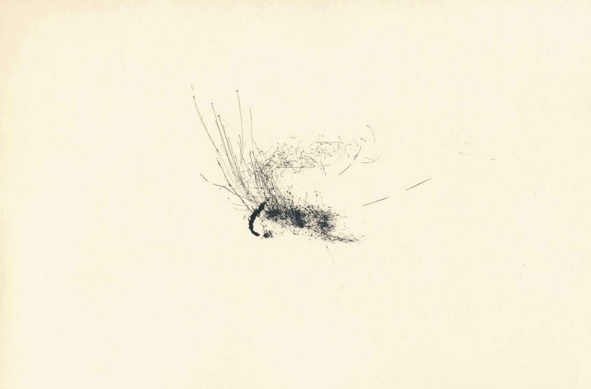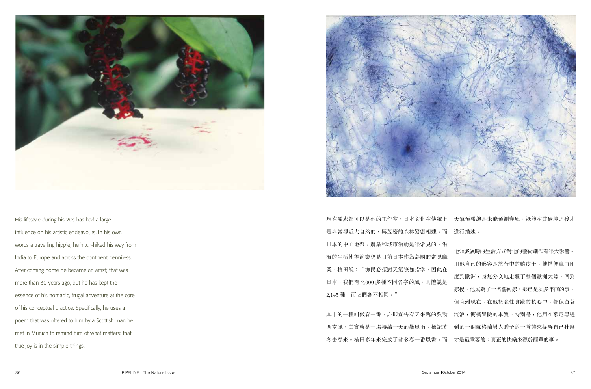

His lifestyle during his 20s has had a large influence on his artistic endeavours. In his own words a travelling hippie, he hitch-hiked his way from India to Europe and across the continent penniless. After coming home he became an artist; that was more than 30 years ago, but he has kept the essence of his nomadic, frugal adventure at the core of his conceptual practice. Specifically, he uses a poem that was offered to him by a Scottish man he met in Munich to remind him of what matters: that true joy is in the simple things.



是非常親近大自然的,與茂密的森林緊密相連。而 日本的中心地帶,農業和城市活動是很常見的,沿 海的生活使得漁業仍是目前日本作為島國的常見職 業。植田說:"漁民必須對天氣瞭如指掌,因此在 日本,我們有 2,000多種不同名字的風,具體説是 2,145.種,而它們各不相同。"

其中的一種叫做春一番,亦即宣告春天來臨的強勁 西南風。其實就是一場持續一天的暴風雨,標記著 到的一個蘇格蘭男人贈予的一首詩來提醒自己什麼 冬去春來。植田多年來完成了許多春一番風畫,而 才是最重要的:真正的快樂來源於簡單的事。

現在隨處都可以是他的工作室。日本文化在傳統上 天氣預報總是未能預測春風,祇能在其過境之後才 進行描述。

> 他20多歲時的生活方式對他的藝術創作有很大影響。 用他自己的形容是旅行中的嬉皮士,他搭便車由印 度到歐洲,身無分文地走遍了整個歐洲大陸。回到 家後,他成為了一名藝術家。那已是30多年前的事, 但直到現在,在他概念性實踐的核心中,都保留著 流浪,簡樸冒險的本質。特別是,他用在慕尼黑遇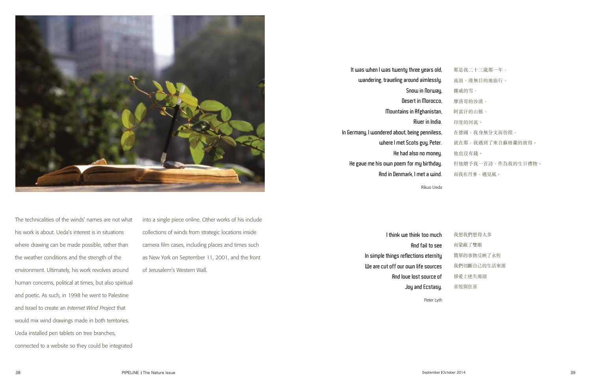

The technicalities of the winds' names are not what his work is about. Ueda's interest is in situations where drawing can be made possible, rather than the weather conditions and the strength of the environment. Ultimately, his work revolves around human concerns, political at times, but also spiritual and poetic. As such, in 1998 he went to Palestine and Israel to create an *Internet Wind Project* that would mix wind drawings made in both territories. Ueda installed pen tablets on tree branches, connected to a website so they could be integrated into a single piece online. Other works of his include collections of winds from strategic locations inside camera film cases, including places and times such as New York on September 11, 2001, and the front of Jerusalem's Western Wall.

| It was when I was twenty three years old,      | 那是我二十三歲那一年,        |
|------------------------------------------------|--------------------|
| wandering, traueling around aimlessly.         | 流浪,漫無目的地旅行,        |
| Snow in Norway,                                | 挪威的雪,              |
| Desert in Morocco.                             | 摩洛哥的沙漠,            |
| Mountains in Afghanistan,                      | 阿富汗的山脈,            |
| Riuer in India.                                | 印度的河流。             |
| In Germany, I wondered about, being penniless, | 在德國,我身無分文而彷徨,      |
| where I met Scots guy, Peter.                  | 就在那,我遇到了來自蘇格蘭的彼得。  |
| He had also no money.                          | 他也沒有錢。             |
| He gaue me his own poem for my birthday.       | 但他贈予我一首詩,作為我的生日禮物。 |
| And in Denmark, I met a wind.                  | 而我在丹麥,遇見風。         |
|                                                |                    |

Rikuo Ueda

| I think we think too much             | 我想我們想得太多    |
|---------------------------------------|-------------|
| And fail to see                       | 而蒙蔽了雙眼      |
| In simple things reflections eternity | 簡單的事物反映了永恆  |
| We are cut off our own life sources   | 我們切斷自己的生活來源 |
| And love lost source of               | 卻愛上迷失源頭     |
| Joy and Ecstasy.                      | 喜悦與狂喜       |
|                                       |             |

Peter Lyth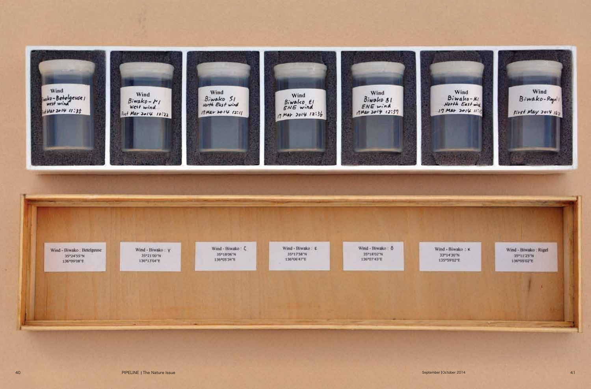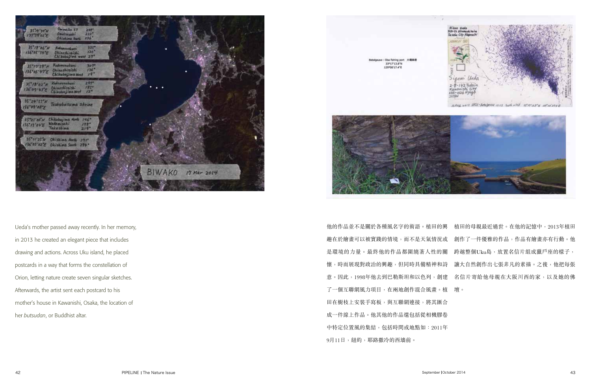

Ueda's mother passed away recently. In her memory, in 2013 he created an elegant piece that includes drawing and actions. Across Uku island, he placed postcards in a way that forms the constellation of Orion, letting nature create seven singular sketches. Afterwards, the artist sent each postcard to his mother's house in Kawanishi, Osaka, the location of her *butsudan*, or Buddhist altar.

telgeuse : Oba fishing port 大曜曲 33°17'13.8"N 129°06'17.4"E



HARR YOU WELL-BEESPIRE IS SO SHE WHAT STITUTE OF HISTORY



他的作品並不是關於各種風名字的術語。植田的興 是環境的力量。最終他的作品都圍繞著人性的關 懷,時而展現對政治的興趣,但同時具備精神和詩 了一個互聯網風力項目,在兩地創作混合風畫。植 壇。 田在樹枝上安裝手寫板,與互聯網連接,將其匯合 成一件線上作品。他其他的作品還包括從相機膠卷 中特定位置風的集結,包括時間或地點如:2011年 9月11日,紐約,耶路撒冷的西墻前。

趣在於繪畫可以被實踐的情境,而不是天氣情況或 創作了一件優雅的作品,作品有繪畫亦有行動。他 意。因此,1998年他去到巴勒斯坦和以色列,創建 名信片寄給他母親在大阪川西的家,以及她的佛 植田的母親最近過世。在他的記憶中,2013年植田 跨越整個Uku島,放置名信片組成獵戶座的樣子, 讓大自然創作出七張非凡的素描。之後,他把每張